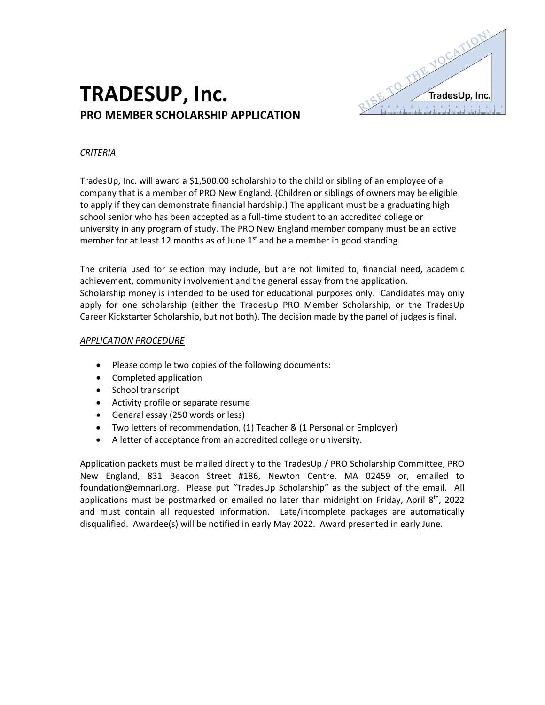

# **TRADESUP, Inc. PRO MEMBER SCHOLARSHIP APPLICATION**

#### *CRITERIA*

TradesUp, Inc. will award a \$1,500.00 scholarship to the child or sibling of an employee of a company that is a member of PRO New England. (Children or siblings of owners may be eligible to apply if they can demonstrate financial hardship.) The applicant must be a graduating high school senior who has been accepted as a full-time student to an accredited college or university in any program of study. The PRO New England member company must be an active member for at least 12 months as of June  $1<sup>st</sup>$  and be a member in good standing.

The criteria used for selection may include, but are not limited to, financial need, academic achievement, community involvement and the general essay from the application. Scholarship money is intended to be used for educational purposes only. Candidates may only apply for one scholarship (either the TradesUp PRO Member Scholarship, or the TradesUp Career Kickstarter Scholarship, but not both). The decision made by the panel of judges is final.

#### *APPLICATION PROCEDURE*

- Please compile two copies of the following documents:
- Completed application
- School transcript
- Activity profile or separate resume
- General essay (250 words or less)
- Two letters of recommendation, (1) Teacher & (1 Personal or Employer)
- A letter of acceptance from an accredited college or university.

Application packets must be mailed directly to the TradesUp / PRO Scholarship Committee, PRO New England, 831 Beacon Street #186, Newton Centre, MA 02459 or, emailed to foundation@emnari.org. Please put "TradesUp Scholarship" as the subject of the email. All applications must be postmarked or emailed no later than midnight on Friday, April  $8<sup>th</sup>$ , 2022 and must contain all requested information. Late/incomplete packages are automatically disqualified. Awardee(s) will be notified in early May 2022. Award presented in early June.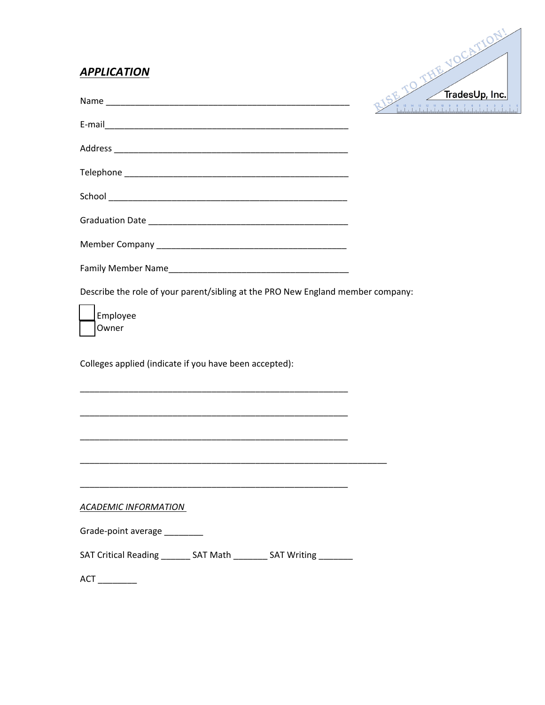## **APPLICATION**



|                                                                                 |  | $\sim$ $\sim$ $\sim$ $\sim$ $\sim$ $\sim$ $\sim$ |
|---------------------------------------------------------------------------------|--|--------------------------------------------------|
|                                                                                 |  |                                                  |
|                                                                                 |  |                                                  |
|                                                                                 |  |                                                  |
|                                                                                 |  |                                                  |
|                                                                                 |  |                                                  |
|                                                                                 |  |                                                  |
|                                                                                 |  |                                                  |
| Describe the role of your parent/sibling at the PRO New England member company: |  |                                                  |
| Employee<br>Owner                                                               |  |                                                  |
| Colleges applied (indicate if you have been accepted):                          |  |                                                  |
|                                                                                 |  |                                                  |
|                                                                                 |  |                                                  |
| <u> 1989 - Jan Barbara, margaret al II-lea (h. 1989).</u>                       |  |                                                  |
|                                                                                 |  |                                                  |
| <b>ACADEMIC INFORMATION</b>                                                     |  |                                                  |
| Grade-point average ________                                                    |  |                                                  |
| SAT Critical Reading ________ SAT Math _________ SAT Writing ________           |  |                                                  |
| $ACT$ _________                                                                 |  |                                                  |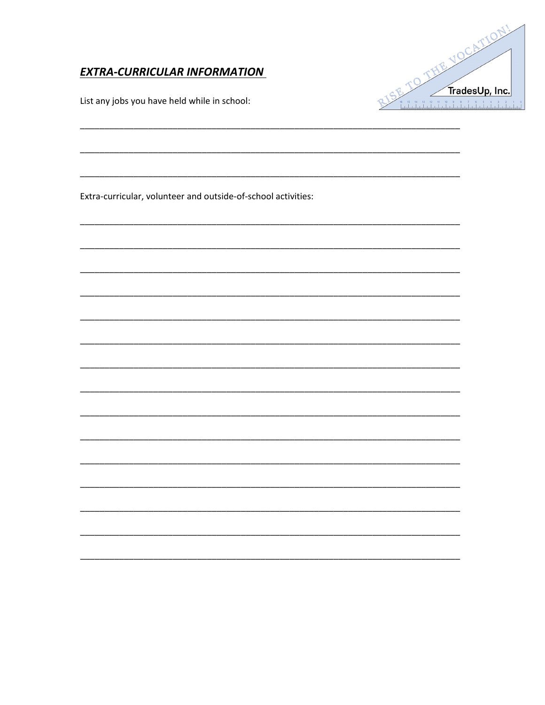## **EXTRA-CURRICULAR INFORMATION**

List any jobs you have held while in school:



Extra-curricular, volunteer and outside-of-school activities: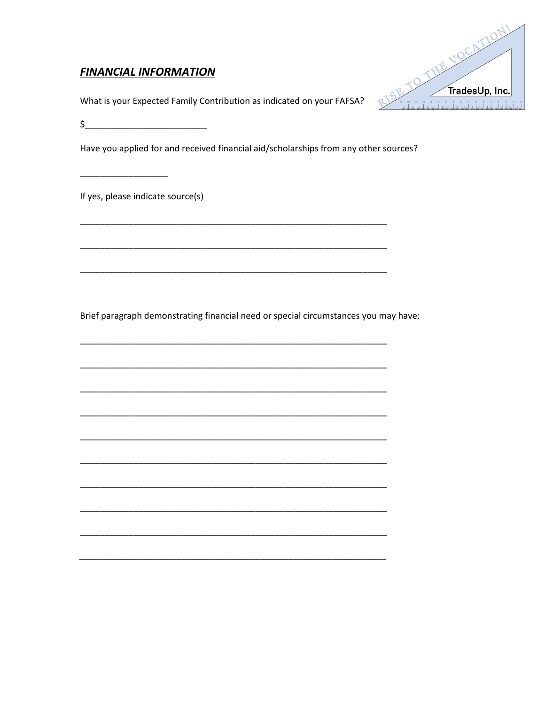## **FINANCIAL INFORMATION**



What is your Expected Family Contribution as indicated on your FAFSA?

Have you applied for and received financial aid/scholarships from any other sources?

If yes, please indicate source(s)

Brief paragraph demonstrating financial need or special circumstances you may have: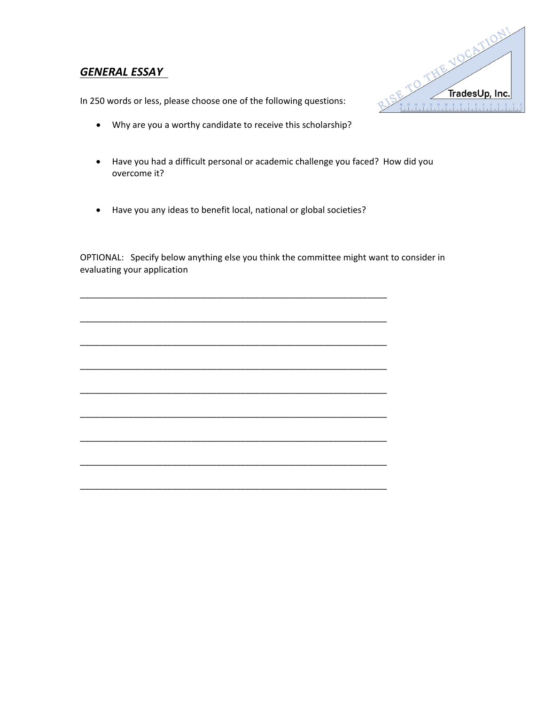## *GENERAL ESSAY*



In 250 words or less, please choose one of the following questions:

- Why are you a worthy candidate to receive this scholarship?
- Have you had a difficult personal or academic challenge you faced? How did you overcome it?
- Have you any ideas to benefit local, national or global societies?

OPTIONAL: Specify below anything else you think the committee might want to consider in evaluating your application